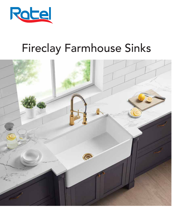

# Fireclay Farmhouse Sinks

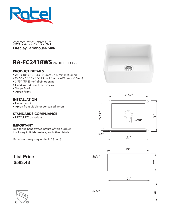

# **RA-FC2418WS** (WHITE GLOSS)

### PRODUCT DETAILS

- 24" x 18" x 10" OD (610mm x 457mm x 260mm)
- 22.5" x 16.5" x 8.5" ID (571.5mm x 419mm x 216mm)
- 3.75" (95.25mm) drain opening
- Handcrafted from Fine Fireclay
- Single Bowl
- Apron Front

### INSTALLATION

- Undermount
- Apron-front visible or concealed apron

### STANDARDS COMPLIANCE

• UPC/cUPC compliant

### IMPORTANT

Due to the handcrafted nature of this product, it will vary in finish, texture, and other details.

Dimensions may vary up to 1⁄8" (3mm).

## **List Price \$563.43**











Side2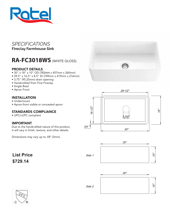

# **RA-FC3018WS** (WHITE GLOSS)

### PRODUCT DETAILS

- 30" x 18" x 10" OD (762mm x 457mm x 260mm)
- 29.5" x 16.5" x 8.5" ID (749mm x 419mm x 216mm)
- 3.75" (95.25mm) drain opening
- Handcrafted from Fine Fireclay
- Single Bowl
- Apron Front

### INSTALLATION

- Undermount
- Apron-front visible or concealed apron

### STANDARDS COMPLIANCE

• UPC/cUPC compliant

### IMPORTANT

Due to the handcrafted nature of this product, it will vary in finish, texture, and other details.

Dimensions may vary up to 1⁄8" (3mm).

# **List Price \$729.14**











Side 2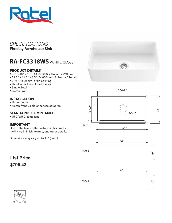

# **RA-FC3318WS** (WHITE GLOSS)

### PRODUCT DETAILS

- 33" x 18" x 10" OD (838mm x 457mm x 260mm)
- 31.5" x 16.5" x 8.5" ID (800mm x 419mm x 216mm)
- 3.75" (95.25mm) drain opening
- Handcrafted from Fine Fireclay
- Single Bowl
- Apron Front

### INSTALLATION

- Undermount
- Apron-front visible or concealed apron

### STANDARDS COMPLIANCE

• UPC/cUPC compliant

### IMPORTANT

Due to the handcrafted nature of this product, it will vary in finish, texture, and other details.

Dimensions may vary up to 1⁄8" (3mm).

**Sunny** 







**List Price \$795.43**



Side 2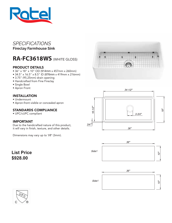

# **RA-FC3618WS** (WHITE GLOSS)

### PRODUCT DETAILS

- 36" x 18" x 10" OD (914mm x 457mm x 260mm)
- 34.5" x 16.5" x 8.5" ID (876mm x 419mm x 216mm)
- 3.75" (95.25mm) drain opening
- Handcrafted from Fine Fireclay
- Single Bowl
- Apron Front

### INSTALLATION

- Undermount
- Apron-front visible or concealed apron

### STANDARDS COMPLIANCE

• UPC/cUPC compliant

### IMPORTANT

Due to the handcrafted nature of this product, it will vary in finish, texture, and other details.

Dimensions may vary up to 1⁄8" (3mm).

### **List Price \$928.00**